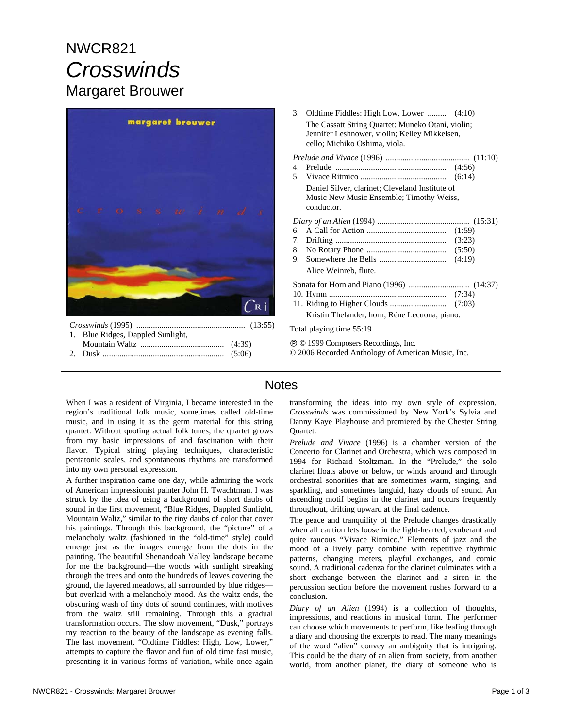# NWCR821 *Crosswinds*  Margaret Brouwer



*Crosswinds* (1995) .................................................... (13:55) 1. Blue Ridges, Dappled Sunlight, Mountain Waltz ........................................ (4:39) 2. Dusk .......................................................... (5:06)

- 3. Oldtime Fiddles: High Low, Lower ......... (4:10) The Cassatt String Quartet: Muneko Otani, violin; Jennifer Leshnower, violin; Kelley Mikkelsen, cello; Michiko Oshima, viola.
- *Prelude and Vivace* (1996) ........................................ (11:10) 4. Prelude ..................................................... (4:56) 5. Vivace Ritmico ......................................... (6:14) Daniel Silver, clarinet; Cleveland Institute of Music New Music Ensemble; Timothy Weiss, conductor. *Diary of an Alien* (1994) ............................................ (15:31) 6. A Call for Action ...................................... (1:59) 7. Drifting ..................................................... (3:23) 8. No Rotary Phone ...................................... (5:50) 9. Somewhere the Bells ................................ (4:19) Alice Weinreb, flute. Sonata for Horn and Piano (1996) ............................. (14:37) 10. Hymn ........................................................ (7:34) 11. Riding to Higher Clouds ........................... (7:03) Kristin Thelander, horn; Réne Lecuona, piano.

Total playing time 55:19

Ê © 1999 Composers Recordings, Inc.

© 2006 Recorded Anthology of American Music, Inc.

### **Notes**

When I was a resident of Virginia, I became interested in the region's traditional folk music, sometimes called old-time music, and in using it as the germ material for this string quartet. Without quoting actual folk tunes, the quartet grows from my basic impressions of and fascination with their flavor. Typical string playing techniques, characteristic pentatonic scales, and spontaneous rhythms are transformed into my own personal expression.

A further inspiration came one day, while admiring the work of American impressionist painter John H. Twachtman. I was struck by the idea of using a background of short daubs of sound in the first movement, "Blue Ridges, Dappled Sunlight, Mountain Waltz," similar to the tiny daubs of color that cover his paintings. Through this background, the "picture" of a melancholy waltz (fashioned in the "old-time" style) could emerge just as the images emerge from the dots in the painting. The beautiful Shenandoah Valley landscape became for me the background—the woods with sunlight streaking through the trees and onto the hundreds of leaves covering the ground, the layered meadows, all surrounded by blue ridges but overlaid with a melancholy mood. As the waltz ends, the obscuring wash of tiny dots of sound continues, with motives from the waltz still remaining. Through this a gradual transformation occurs. The slow movement, "Dusk," portrays my reaction to the beauty of the landscape as evening falls. The last movement, "Oldtime Fiddles: High, Low, Lower," attempts to capture the flavor and fun of old time fast music, presenting it in various forms of variation, while once again transforming the ideas into my own style of expression. *Crosswinds* was commissioned by New York's Sylvia and Danny Kaye Playhouse and premiered by the Chester String Quartet.

*Prelude and Vivace* (1996) is a chamber version of the Concerto for Clarinet and Orchestra, which was composed in 1994 for Richard Stoltzman. In the "Prelude," the solo clarinet floats above or below, or winds around and through orchestral sonorities that are sometimes warm, singing, and sparkling, and sometimes languid, hazy clouds of sound. An ascending motif begins in the clarinet and occurs frequently throughout, drifting upward at the final cadence.

The peace and tranquility of the Prelude changes drastically when all caution lets loose in the light-hearted, exuberant and quite raucous "Vivace Ritmico." Elements of jazz and the mood of a lively party combine with repetitive rhythmic patterns, changing meters, playful exchanges, and comic sound. A traditional cadenza for the clarinet culminates with a short exchange between the clarinet and a siren in the percussion section before the movement rushes forward to a conclusion.

*Diary of an Alien* (1994) is a collection of thoughts, impressions, and reactions in musical form. The performer can choose which movements to perform, like leafing through a diary and choosing the excerpts to read. The many meanings of the word "alien" convey an ambiguity that is intriguing. This could be the diary of an alien from society, from another world, from another planet, the diary of someone who is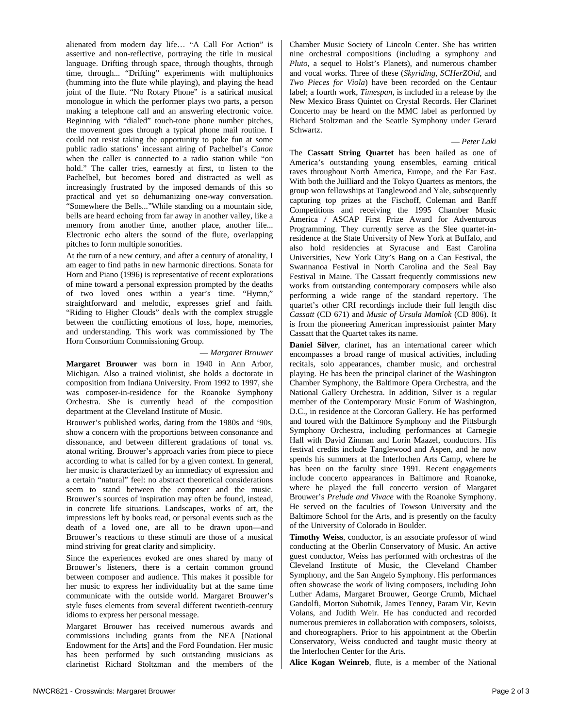alienated from modern day life… "A Call For Action" is assertive and non-reflective, portraying the title in musical language. Drifting through space, through thoughts, through time, through... "Drifting" experiments with multiphonics (humming into the flute while playing), and playing the head joint of the flute. "No Rotary Phone" is a satirical musical monologue in which the performer plays two parts, a person making a telephone call and an answering electronic voice. Beginning with "dialed" touch-tone phone number pitches, the movement goes through a typical phone mail routine. I could not resist taking the opportunity to poke fun at some public radio stations' incessant airing of Pachelbel's *Canon* when the caller is connected to a radio station while "on hold." The caller tries, earnestly at first, to listen to the Pachelbel, but becomes bored and distracted as well as increasingly frustrated by the imposed demands of this so practical and yet so dehumanizing one-way conversation. "Somewhere the Bells..."While standing on a mountain side, bells are heard echoing from far away in another valley, like a memory from another time, another place, another life... Electronic echo alters the sound of the flute, overlapping pitches to form multiple sonorities.

At the turn of a new century, and after a century of atonality, I am eager to find paths in new harmonic directions. Sonata for Horn and Piano (1996) is representative of recent explorations of mine toward a personal expression prompted by the deaths of two loved ones within a year's time. "Hymn," straightforward and melodic, expresses grief and faith. "Riding to Higher Clouds" deals with the complex struggle between the conflicting emotions of loss, hope, memories, and understanding. This work was commissioned by The Horn Consortium Commissioning Group.

#### — *Margaret Brouwer*

**Margaret Brouwer** was born in 1940 in Ann Arbor, Michigan. Also a trained violinist, she holds a doctorate in composition from Indiana University. From 1992 to 1997, she was composer-in-residence for the Roanoke Symphony Orchestra. She is currently head of the composition department at the Cleveland Institute of Music.

Brouwer's published works, dating from the 1980s and '90s, show a concern with the proportions between consonance and dissonance, and between different gradations of tonal vs. atonal writing. Brouwer's approach varies from piece to piece according to what is called for by a given context. In general, her music is characterized by an immediacy of expression and a certain "natural" feel: no abstract theoretical considerations seem to stand between the composer and the music. Brouwer's sources of inspiration may often be found, instead, in concrete life situations. Landscapes, works of art, the impressions left by books read, or personal events such as the death of a loved one, are all to be drawn upon—and Brouwer's reactions to these stimuli are those of a musical mind striving for great clarity and simplicity.

Since the experiences evoked are ones shared by many of Brouwer's listeners, there is a certain common ground between composer and audience. This makes it possible for her music to express her individuality but at the same time communicate with the outside world. Margaret Brouwer's style fuses elements from several different twentieth-century idioms to express her personal message.

Margaret Brouwer has received numerous awards and commissions including grants from the NEA [National Endowment for the Arts] and the Ford Foundation. Her music has been performed by such outstanding musicians as clarinetist Richard Stoltzman and the members of the Chamber Music Society of Lincoln Center. She has written nine orchestral compositions (including a symphony and *Pluto*, a sequel to Holst's Planets), and numerous chamber and vocal works. Three of these (*Skyriding*, *SCHerZOid*, and *Two Pieces for Viola*) have been recorded on the Centaur label; a fourth work, *Timespan*, is included in a release by the New Mexico Brass Quintet on Crystal Records. Her Clarinet Concerto may be heard on the MMC label as performed by Richard Stoltzman and the Seattle Symphony under Gerard Schwartz.

#### — *Peter Laki*

The **Cassatt String Quartet** has been hailed as one of America's outstanding young ensembles, earning critical raves throughout North America, Europe, and the Far East. With both the Juilliard and the Tokyo Quartets as mentors, the group won fellowships at Tanglewood and Yale, subsequently capturing top prizes at the Fischoff, Coleman and Banff Competitions and receiving the 1995 Chamber Music America / ASCAP First Prize Award for Adventurous Programming. They currently serve as the Slee quartet-inresidence at the State University of New York at Buffalo, and also hold residencies at Syracuse and East Carolina Universities, New York City's Bang on a Can Festival, the Swannanoa Festival in North Carolina and the Seal Bay Festival in Maine. The Cassatt frequently commissions new works from outstanding contemporary composers while also performing a wide range of the standard repertory. The quartet's other CRI recordings include their full length disc *Cassatt* (CD 671) and *Music of Ursula Mamlok* (CD 806). It is from the pioneering American impressionist painter Mary Cassatt that the Quartet takes its name.

**Daniel Silver**, clarinet, has an international career which encompasses a broad range of musical activities, including recitals, solo appearances, chamber music, and orchestral playing. He has been the principal clarinet of the Washington Chamber Symphony, the Baltimore Opera Orchestra, and the National Gallery Orchestra. In addition, Silver is a regular member of the Contemporary Music Forum of Washington, D.C., in residence at the Corcoran Gallery. He has performed and toured with the Baltimore Symphony and the Pittsburgh Symphony Orchestra, including performances at Carnegie Hall with David Zinman and Lorin Maazel, conductors. His festival credits include Tanglewood and Aspen, and he now spends his summers at the Interlochen Arts Camp, where he has been on the faculty since 1991. Recent engagements include concerto appearances in Baltimore and Roanoke, where he played the full concerto version of Margaret Brouwer's *Prelude and Vivace* with the Roanoke Symphony. He served on the faculties of Towson University and the Baltimore School for the Arts, and is presently on the faculty of the University of Colorado in Boulder.

**Timothy Weiss**, conductor, is an associate professor of wind conducting at the Oberlin Conservatory of Music. An active guest conductor, Weiss has performed with orchestras of the Cleveland Institute of Music, the Cleveland Chamber Symphony, and the San Angelo Symphony. His performances often showcase the work of living composers, including John Luther Adams, Margaret Brouwer, George Crumb, Michael Gandolfi, Morton Subotnik, James Tenney, Param Vir, Kevin Volans, and Judith Weir. He has conducted and recorded numerous premieres in collaboration with composers, soloists, and choreographers. Prior to his appointment at the Oberlin Conservatory, Weiss conducted and taught music theory at the Interlochen Center for the Arts.

**Alice Kogan Weinreb**, flute, is a member of the National